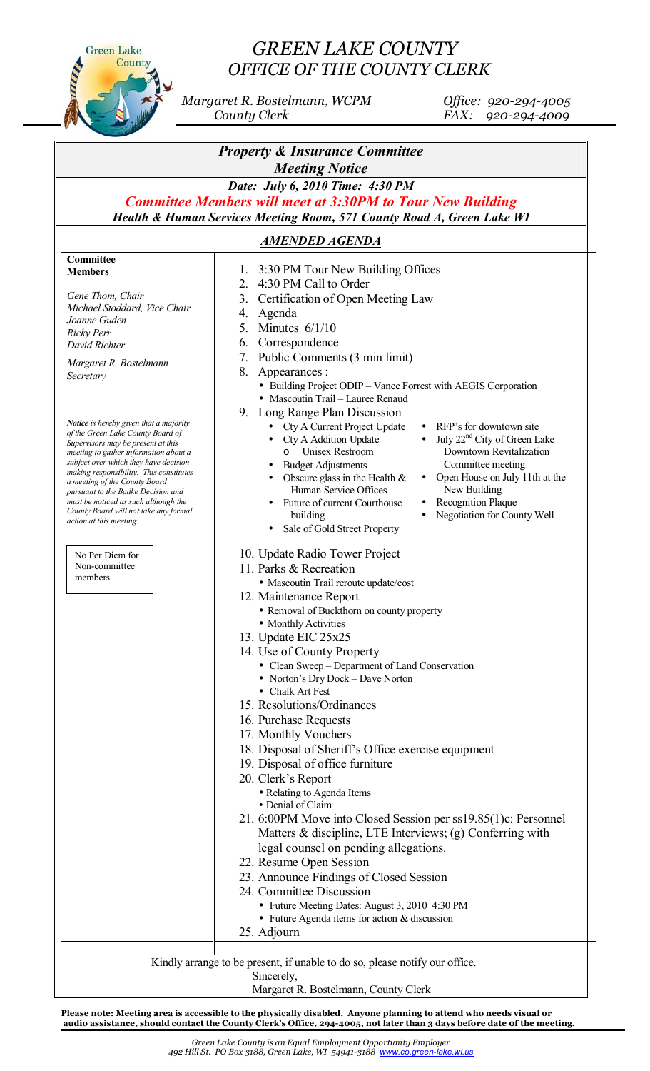

## *GREEN LAKE COUNTY OFFICE OF THE COUNTY CLERK*

 *Margaret R. Bostelmann, WCPM Office: 920-294-4005 County Clerk FAX: 920-294-4009*

| <b>Property &amp; Insurance Committee</b><br><b>Meeting Notice</b><br>Date: July 6, 2010 Time: 4:30 PM<br><b>Committee Members will meet at 3:30PM to Tour New Building</b><br>Health & Human Services Meeting Room, 571 County Road A, Green Lake WI |                                                                                                                                |                             |                                         |
|-------------------------------------------------------------------------------------------------------------------------------------------------------------------------------------------------------------------------------------------------------|--------------------------------------------------------------------------------------------------------------------------------|-----------------------------|-----------------------------------------|
|                                                                                                                                                                                                                                                       |                                                                                                                                | <b>AMENDED AGENDA</b>       |                                         |
|                                                                                                                                                                                                                                                       |                                                                                                                                | Committee<br><b>Members</b> | 3:30 PM Tour New Building Offices<br>1. |
|                                                                                                                                                                                                                                                       |                                                                                                                                |                             | 4:30 PM Call to Order<br>2.             |
| Gene Thom, Chair                                                                                                                                                                                                                                      | Certification of Open Meeting Law<br>3.                                                                                        |                             |                                         |
| Michael Stoddard, Vice Chair<br>Joanne Guden                                                                                                                                                                                                          | 4.<br>Agenda                                                                                                                   |                             |                                         |
| <b>Ricky Perr</b>                                                                                                                                                                                                                                     | 5.<br>Minutes $6/1/10$                                                                                                         |                             |                                         |
| David Richter                                                                                                                                                                                                                                         | Correspondence<br>6.                                                                                                           |                             |                                         |
| Margaret R. Bostelmann                                                                                                                                                                                                                                | 7.<br>Public Comments (3 min limit)                                                                                            |                             |                                         |
| Secretary                                                                                                                                                                                                                                             | 8.<br>Appearances :                                                                                                            |                             |                                         |
|                                                                                                                                                                                                                                                       | • Building Project ODIP – Vance Forrest with AEGIS Corporation                                                                 |                             |                                         |
|                                                                                                                                                                                                                                                       | • Mascoutin Trail - Lauree Renaud                                                                                              |                             |                                         |
| <b>Notice</b> is hereby given that a majority                                                                                                                                                                                                         | 9.<br>Long Range Plan Discussion                                                                                               |                             |                                         |
| of the Green Lake County Board of                                                                                                                                                                                                                     | • RFP's for downtown site<br>Cty A Current Project Update<br>July 22 <sup>nd</sup> City of Green Lake<br>Cty A Addition Update |                             |                                         |
| Supervisors may be present at this<br>meeting to gather information about a                                                                                                                                                                           | Unisex Restroom<br>Downtown Revitalization<br>$\circ$                                                                          |                             |                                         |
| subject over which they have decision                                                                                                                                                                                                                 | Committee meeting<br><b>Budget Adjustments</b><br>$\bullet$                                                                    |                             |                                         |
| making responsibility. This constitutes<br>a meeting of the County Board                                                                                                                                                                              | Open House on July 11th at the<br>Obscure glass in the Health $\&$<br>$\bullet$                                                |                             |                                         |
| pursuant to the Badke Decision and                                                                                                                                                                                                                    | New Building<br>Human Service Offices                                                                                          |                             |                                         |
| must be noticed as such although the<br>County Board will not take any formal                                                                                                                                                                         | Recognition Plaque<br>Future of current Courthouse<br>Negotiation for County Well                                              |                             |                                         |
| action at this meeting.                                                                                                                                                                                                                               | building<br>Sale of Gold Street Property                                                                                       |                             |                                         |
|                                                                                                                                                                                                                                                       |                                                                                                                                |                             |                                         |
| No Per Diem for                                                                                                                                                                                                                                       | 10. Update Radio Tower Project                                                                                                 |                             |                                         |
| Non-committee                                                                                                                                                                                                                                         | 11. Parks & Recreation                                                                                                         |                             |                                         |
| members                                                                                                                                                                                                                                               | • Mascoutin Trail reroute update/cost                                                                                          |                             |                                         |
|                                                                                                                                                                                                                                                       | 12. Maintenance Report                                                                                                         |                             |                                         |
|                                                                                                                                                                                                                                                       | • Removal of Buckthorn on county property                                                                                      |                             |                                         |
|                                                                                                                                                                                                                                                       | • Monthly Activities<br>13. Update EIC 25x25                                                                                   |                             |                                         |
|                                                                                                                                                                                                                                                       | 14. Use of County Property                                                                                                     |                             |                                         |
|                                                                                                                                                                                                                                                       | • Clean Sweep - Department of Land Conservation                                                                                |                             |                                         |
|                                                                                                                                                                                                                                                       | • Norton's Dry Dock - Dave Norton                                                                                              |                             |                                         |
|                                                                                                                                                                                                                                                       | • Chalk Art Fest                                                                                                               |                             |                                         |
|                                                                                                                                                                                                                                                       | 15. Resolutions/Ordinances                                                                                                     |                             |                                         |
|                                                                                                                                                                                                                                                       | 16. Purchase Requests                                                                                                          |                             |                                         |
|                                                                                                                                                                                                                                                       | 17. Monthly Vouchers                                                                                                           |                             |                                         |
|                                                                                                                                                                                                                                                       | 18. Disposal of Sheriff's Office exercise equipment                                                                            |                             |                                         |
|                                                                                                                                                                                                                                                       | 19. Disposal of office furniture                                                                                               |                             |                                         |
|                                                                                                                                                                                                                                                       | 20. Clerk's Report                                                                                                             |                             |                                         |
|                                                                                                                                                                                                                                                       | • Relating to Agenda Items<br>• Denial of Claim                                                                                |                             |                                         |
|                                                                                                                                                                                                                                                       | 21. 6:00PM Move into Closed Session per ss19.85(1)c: Personnel                                                                 |                             |                                         |
|                                                                                                                                                                                                                                                       | Matters & discipline, LTE Interviews; (g) Conferring with                                                                      |                             |                                         |
|                                                                                                                                                                                                                                                       | legal counsel on pending allegations.                                                                                          |                             |                                         |
|                                                                                                                                                                                                                                                       | 22. Resume Open Session                                                                                                        |                             |                                         |
|                                                                                                                                                                                                                                                       | 23. Announce Findings of Closed Session                                                                                        |                             |                                         |
|                                                                                                                                                                                                                                                       | 24. Committee Discussion                                                                                                       |                             |                                         |
|                                                                                                                                                                                                                                                       | • Future Meeting Dates: August 3, 2010 4:30 PM                                                                                 |                             |                                         |
|                                                                                                                                                                                                                                                       | • Future Agenda items for action $&$ discussion                                                                                |                             |                                         |
|                                                                                                                                                                                                                                                       | 25. Adjourn                                                                                                                    |                             |                                         |
|                                                                                                                                                                                                                                                       |                                                                                                                                |                             |                                         |
| Kindly arrange to be present, if unable to do so, please notify our office.                                                                                                                                                                           |                                                                                                                                |                             |                                         |
| Sincerely,                                                                                                                                                                                                                                            |                                                                                                                                |                             |                                         |

Margaret R. Bostelmann, County Clerk

**Please note: Meeting area is accessible to the physically disabled. Anyone planning to attend who needs visual or audio assistance, should contact the County Clerk's Office, 294-4005, not later than 3 days before date 0f the meeting.**